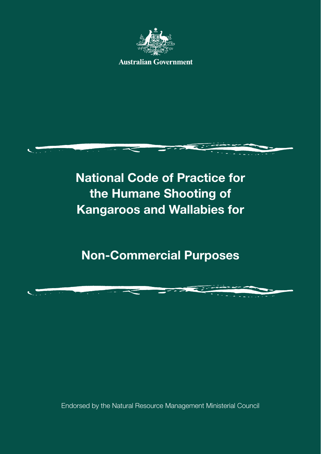

**Australian Government** 



**National Code of Practice for the Humane Shooting of Kangaroos and Wallabies for**

**Non-Commercial Purposes**

Endorsed by the Natural Resource Management Ministerial Council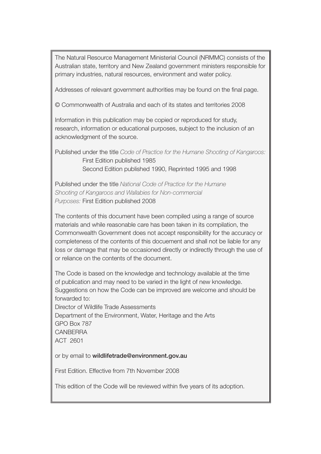The Natural Resource Management Ministerial Council (NRMMC) consists of the Australian state, territory and New Zealand government ministers responsible for primary industries, natural resources, environment and water policy.

Addresses of relevant government authorities may be found on the final page.

© Commonwealth of Australia and each of its states and territories 2008

Information in this publication may be copied or reproduced for study, research, information or educational purposes, subject to the inclusion of an acknowledgment of the source.

Published under the title *Code of Practice for the Humane Shooting of Kangaroos:* First Edition published 1985 Second Edition published 1990, Reprinted 1995 and 1998

Published under the title *National Code of Practice for the Humane Shooting of Kangaroos and Wallabies for Non-commercial Purposes:* First Edition published 2008

The contents of this document have been compiled using a range of source materials and while reasonable care has been taken in its compilation, the Commonwealth Government does not accept responsibility for the accuracy or completeness of the contents of this docuement and shall not be liable for any loss or damage that may be occasioned directly or indirectly through the use of or reliance on the contents of the document.

The Code is based on the knowledge and technology available at the time of publication and may need to be varied in the light of new knowledge. Suggestions on how the Code can be improved are welcome and should be forwarded to: Director of Wildlife Trade Assessments Department of the Environment, Water, Heritage and the Arts GPO Box 787 **CANBERRA** ACT 2601

or by email to wildlifetrade@environment.gov.au

First Edition. Effective from 7th November 2008

This edition of the Code will be reviewed within five years of its adoption.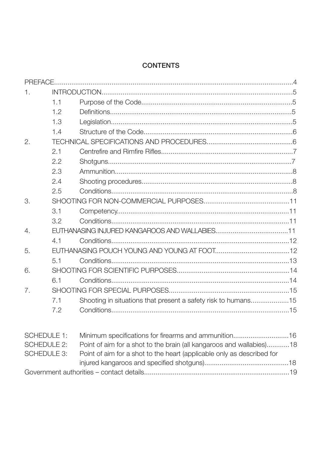### **CONTENTS**

| 1.               |                    |                                                               |  |  |  |  |
|------------------|--------------------|---------------------------------------------------------------|--|--|--|--|
|                  | 1.1                |                                                               |  |  |  |  |
|                  | 1.2                |                                                               |  |  |  |  |
|                  | 1.3                |                                                               |  |  |  |  |
|                  | 1.4                |                                                               |  |  |  |  |
| 2.               |                    |                                                               |  |  |  |  |
|                  | 2.1                |                                                               |  |  |  |  |
|                  | 2.2                |                                                               |  |  |  |  |
|                  | 2.3                |                                                               |  |  |  |  |
|                  | 2.4                |                                                               |  |  |  |  |
|                  | 2.5                |                                                               |  |  |  |  |
| 3.               |                    |                                                               |  |  |  |  |
|                  | 3.1                |                                                               |  |  |  |  |
|                  | 3.2                |                                                               |  |  |  |  |
| $\overline{4}$ . |                    |                                                               |  |  |  |  |
|                  | 41                 |                                                               |  |  |  |  |
| 5.               |                    |                                                               |  |  |  |  |
|                  | 5.1                |                                                               |  |  |  |  |
| 6.               |                    |                                                               |  |  |  |  |
|                  | 6.1                |                                                               |  |  |  |  |
| 7.               |                    |                                                               |  |  |  |  |
|                  | 7.1                | Shooting in situations that present a safety risk to humans15 |  |  |  |  |
|                  | 7.2                |                                                               |  |  |  |  |
|                  |                    |                                                               |  |  |  |  |
|                  | <b>SCHEDULE 1:</b> | Minimum specifications for firearms and ammunition16          |  |  |  |  |

| OUNELJULE II. | <u>IVIII IIITIUITI SPECIIICAUOLIS TOL IIIEALITIS ALIO ALTIITIUI IIUOLI TO</u> |  |
|---------------|-------------------------------------------------------------------------------|--|
| SCHEDULE 2:   | Point of aim for a shot to the brain (all kangaroos and wallabies)18          |  |
| SCHEDULE 3:   | Point of aim for a shot to the heart (applicable only as described for        |  |
|               |                                                                               |  |
|               |                                                                               |  |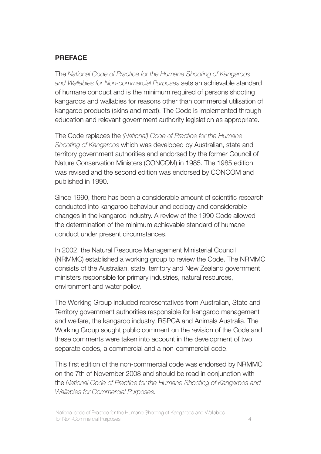#### **PREFACE**

The *National Code of Practice for the Humane Shooting of Kangaroos and Wallabies for Non-commercial Purposes* sets an achievable standard of humane conduct and is the minimum required of persons shooting kangaroos and wallabies for reasons other than commercial utilisation of kangaroo products (skins and meat). The Code is implemented through education and relevant government authority legislation as appropriate.

The Code replaces the *(National) Code of Practice for the Humane Shooting of Kangaroos* which was developed by Australian, state and territory government authorities and endorsed by the former Council of Nature Conservation Ministers (CONCOM) in 1985. The 1985 edition was revised and the second edition was endorsed by CONCOM and published in 1990.

Since 1990, there has been a considerable amount of scientific research conducted into kangaroo behaviour and ecology and considerable changes in the kangaroo industry. A review of the 1990 Code allowed the determination of the minimum achievable standard of humane conduct under present circumstances.

In 2002, the Natural Resource Management Ministerial Council (NRMMC) established a working group to review the Code. The NRMMC consists of the Australian, state, territory and New Zealand government ministers responsible for primary industries, natural resources, environment and water policy.

The Working Group included representatives from Australian, State and Territory government authorities responsible for kangaroo management and welfare, the kangaroo industry, RSPCA and Animals Australia. The Working Group sought public comment on the revision of the Code and these comments were taken into account in the development of two separate codes, a commercial and a non-commercial code.

This first edition of the non-commercial code was endorsed by NRMMC on the 7th of November 2008 and should be read in conjunction with the *National Code of Practice for the Humane Shooting of Kangaroos and Wallabies for Commercial Purposes.*

National code of Practice for the Humane Shooting of Kangaroos and Wallabies for Non-Commercial Purposes 4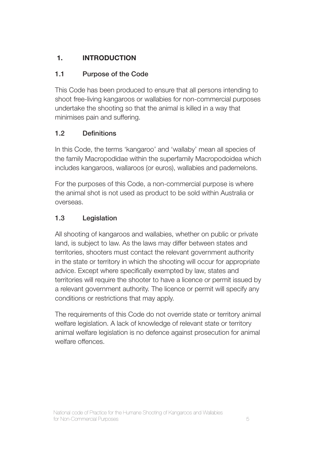# **1. INTRODUCTION**

# 1.1 Purpose of the Code

This Code has been produced to ensure that all persons intending to shoot free-living kangaroos or wallabies for non-commercial purposes undertake the shooting so that the animal is killed in a way that minimises pain and suffering.

# 1.2 Definitions

In this Code, the terms 'kangaroo' and 'wallaby' mean all species of the family Macropodidae within the superfamily Macropodoidea which includes kangaroos, wallaroos (or euros), wallabies and pademelons.

For the purposes of this Code, a non-commercial purpose is where the animal shot is not used as product to be sold within Australia or overseas.

# 1.3 Legislation

All shooting of kangaroos and wallabies, whether on public or private land, is subject to law. As the laws may differ between states and territories, shooters must contact the relevant government authority in the state or territory in which the shooting will occur for appropriate advice. Except where specifically exempted by law, states and territories will require the shooter to have a licence or permit issued by a relevant government authority. The licence or permit will specify any conditions or restrictions that may apply.

The requirements of this Code do not override state or territory animal welfare legislation. A lack of knowledge of relevant state or territory animal welfare legislation is no defence against prosecution for animal welfare offences.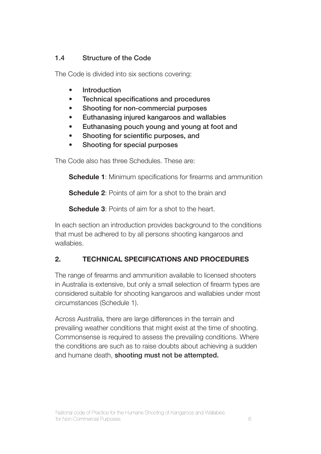## 1.4 Structure of the Code

The Code is divided into six sections covering:

- **Introduction**
- • Technical specifications and procedures
- Shooting for non-commercial purposes
- Euthanasing injured kangaroos and wallabies
- Euthanasing pouch young and young at foot and
- • Shooting for scientific purposes, and
- Shooting for special purposes

The Code also has three Schedules. These are:

**Schedule 1:** Minimum specifications for firearms and ammunition

**Schedule 2:** Points of aim for a shot to the brain and

**Schedule 3:** Points of aim for a shot to the heart.

In each section an introduction provides background to the conditions that must be adhered to by all persons shooting kangaroos and wallabies.

# **2. TECHNICAL SPECIFICATIONS AND PROCEDURES**

The range of firearms and ammunition available to licensed shooters in Australia is extensive, but only a small selection of firearm types are considered suitable for shooting kangaroos and wallabies under most circumstances (Schedule 1).

Across Australia, there are large differences in the terrain and prevailing weather conditions that might exist at the time of shooting. Commonsense is required to assess the prevailing conditions. Where the conditions are such as to raise doubts about achieving a sudden and humane death, shooting must not be attempted.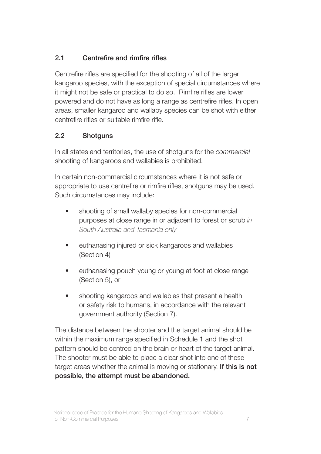## 2.1 Centrefire and rimfire rifles

Centrefire rifles are specified for the shooting of all of the larger kangaroo species, with the exception of special circumstances where it might not be safe or practical to do so. Rimfire rifles are lower powered and do not have as long a range as centrefire rifles. In open areas, smaller kangaroo and wallaby species can be shot with either centrefire rifles or suitable rimfire rifle.

## 2.2 Shotguns

In all states and territories, the use of shotguns for the *commercial* shooting of kangaroos and wallabies is prohibited.

In certain non-commercial circumstances where it is not safe or appropriate to use centrefire or rimfire rifles, shotguns may be used. Such circumstances may include:

- shooting of small wallaby species for non-commercial purposes at close range in or adjacent to forest or scrub *in South Australia and Tasmania only*
- euthanasing injured or sick kangaroos and wallabies (Section 4)
- euthanasing pouch young or young at foot at close range (Section 5), or
- shooting kangaroos and wallabies that present a health or safety risk to humans, in accordance with the relevant government authority (Section 7).

The distance between the shooter and the target animal should be within the maximum range specified in Schedule 1 and the shot pattern should be centred on the brain or heart of the target animal. The shooter must be able to place a clear shot into one of these target areas whether the animal is moving or stationary. If this is not possible, the attempt must be abandoned.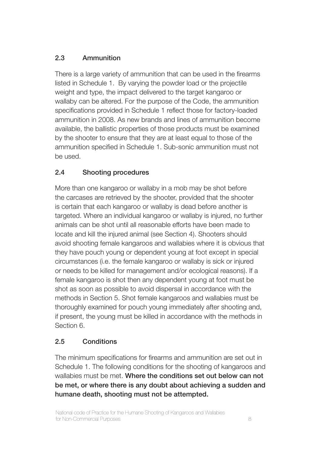# 2.3 Ammunition

There is a large variety of ammunition that can be used in the firearms listed in Schedule 1. By varying the powder load or the projectile weight and type, the impact delivered to the target kangaroo or wallaby can be altered. For the purpose of the Code, the ammunition specifications provided in Schedule 1 reflect those for factory-loaded ammunition in 2008. As new brands and lines of ammunition become available, the ballistic properties of those products must be examined by the shooter to ensure that they are at least equal to those of the ammunition specified in Schedule 1. Sub-sonic ammunition must not be used.

# 2.4 Shooting procedures

More than one kangaroo or wallaby in a mob may be shot before the carcases are retrieved by the shooter, provided that the shooter is certain that each kangaroo or wallaby is dead before another is targeted. Where an individual kangaroo or wallaby is injured, no further animals can be shot until all reasonable efforts have been made to locate and kill the injured animal (see Section 4). Shooters should avoid shooting female kangaroos and wallabies where it is obvious that they have pouch young or dependent young at foot except in special circumstances (i.e. the female kangaroo or wallaby is sick or injured or needs to be killed for management and/or ecological reasons). If a female kangaroo is shot then any dependent young at foot must be shot as soon as possible to avoid dispersal in accordance with the methods in Section 5. Shot female kangaroos and wallabies must be thoroughly examined for pouch young immediately after shooting and, if present, the young must be killed in accordance with the methods in Section 6.

## 2.5 Conditions

The minimum specifications for firearms and ammunition are set out in Schedule 1. The following conditions for the shooting of kangaroos and wallabies must be met. Where the conditions set out below can not be met, or where there is any doubt about achieving a sudden and humane death, shooting must not be attempted.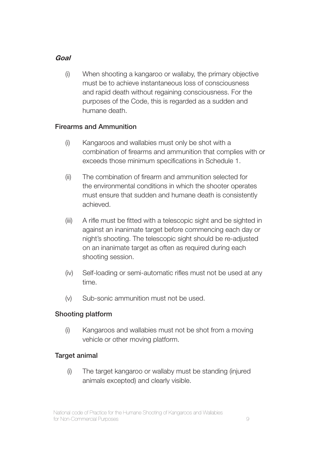### **Goal**

(i) When shooting a kangaroo or wallaby, the primary objective must be to achieve instantaneous loss of consciousness and rapid death without regaining consciousness. For the purposes of the Code, this is regarded as a sudden and humane death.

#### Firearms and Ammunition

- (i) Kangaroos and wallabies must only be shot with a combination of firearms and ammunition that complies with or exceeds those minimum specifications in Schedule 1.
- (ii) The combination of firearm and ammunition selected for the environmental conditions in which the shooter operates must ensure that sudden and humane death is consistently achieved.
- (iii) A rifle must be fitted with a telescopic sight and be sighted in against an inanimate target before commencing each day or night's shooting. The telescopic sight should be re-adjusted on an inanimate target as often as required during each shooting session.
- (iv) Self-loading or semi-automatic rifles must not be used at any time.
- (v) Sub-sonic ammunition must not be used.

### Shooting platform

(i) Kangaroos and wallabies must not be shot from a moving vehicle or other moving platform.

#### Target animal

 (i) The target kangaroo or wallaby must be standing (injured animals excepted) and clearly visible.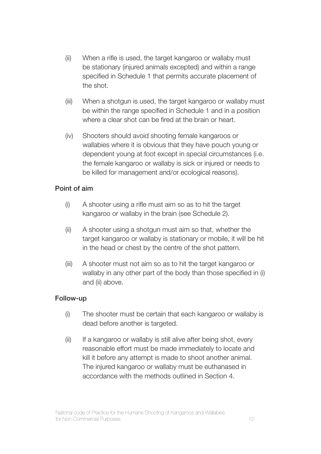- (ii) When a rifle is used, the target kangaroo or wallaby must be stationary (injured animals excepted) and within a range specified in Schedule 1 that permits accurate placement of the shot.
- (iii) When a shotgun is used, the target kangaroo or wallaby must be within the range specified in Schedule 1 and in a position where a clear shot can be fired at the brain or heart.
- (iv) Shooters should avoid shooting female kangaroos or wallabies where it is obvious that they have pouch young or dependent young at foot except in special circumstances (i.e. the female kangaroo or wallaby is sick or injured or needs to be killed for management and/or ecological reasons).

### Point of aim

- (i) A shooter using a rifle must aim so as to hit the target kangaroo or wallaby in the brain (see Schedule 2).
- (ii) A shooter using a shotgun must aim so that, whether the target kangaroo or wallaby is stationary or mobile, it will be hit in the head or chest by the centre of the shot pattern.
- (iii) A shooter must not aim so as to hit the target kangaroo or wallaby in any other part of the body than those specified in (i) and (ii) above.

#### Follow-up

- (i) The shooter must be certain that each kangaroo or wallaby is dead before another is targeted.
- (ii) If a kangaroo or wallaby is still alive after being shot, every reasonable effort must be made immediately to locate and kill it before any attempt is made to shoot another animal. The injured kangaroo or wallaby must be euthanased in accordance with the methods outlined in Section 4.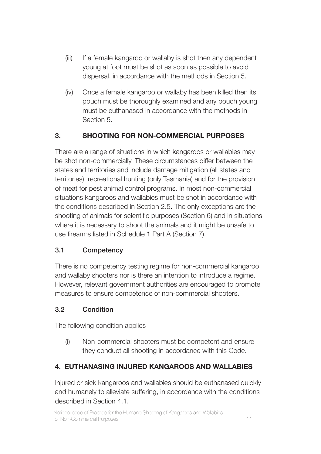- (iii) If a female kangaroo or wallaby is shot then any dependent young at foot must be shot as soon as possible to avoid dispersal, in accordance with the methods in Section 5.
- (iv) Once a female kangaroo or wallaby has been killed then its pouch must be thoroughly examined and any pouch young must be euthanased in accordance with the methods in Section 5.

# **3. SHOOTING FOR NON-COMMERCIAL PURPOSES**

There are a range of situations in which kangaroos or wallabies may be shot non-commercially. These circumstances differ between the states and territories and include damage mitigation (all states and territories), recreational hunting (only Tasmania) and for the provision of meat for pest animal control programs. In most non-commercial situations kangaroos and wallabies must be shot in accordance with the conditions described in Section 2.5. The only exceptions are the shooting of animals for scientific purposes (Section 6) and in situations where it is necessary to shoot the animals and it might be unsafe to use firearms listed in Schedule 1 Part A (Section 7).

## 3.1 Competency

There is no competency testing regime for non-commercial kangaroo and wallaby shooters nor is there an intention to introduce a regime. However, relevant government authorities are encouraged to promote measures to ensure competence of non-commercial shooters.

## 3.2 Condition

The following condition applies

(i) Non-commercial shooters must be competent and ensure they conduct all shooting in accordance with this Code.

# **4. EUTHANASING INJURED KANGAROOS AND WALLABIES**

Injured or sick kangaroos and wallabies should be euthanased quickly and humanely to alleviate suffering, in accordance with the conditions described in Section 4.1.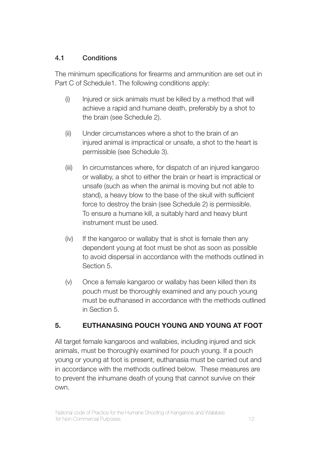### 4.1 Conditions

The minimum specifications for firearms and ammunition are set out in Part C of Schedule1. The following conditions apply:

- (i) Injured or sick animals must be killed by a method that will achieve a rapid and humane death, preferably by a shot to the brain (see Schedule 2).
- (ii) Under circumstances where a shot to the brain of an injured animal is impractical or unsafe, a shot to the heart is permissible (see Schedule 3).
- (iii) In circumstances where, for dispatch of an injured kangaroo or wallaby, a shot to either the brain or heart is impractical or unsafe (such as when the animal is moving but not able to stand), a heavy blow to the base of the skull with sufficient force to destroy the brain (see Schedule 2) is permissible. To ensure a humane kill, a suitably hard and heavy blunt instrument must be used.
- (iv) If the kangaroo or wallaby that is shot is female then any dependent young at foot must be shot as soon as possible to avoid dispersal in accordance with the methods outlined in Section 5.
- (v) Once a female kangaroo or wallaby has been killed then its pouch must be thoroughly examined and any pouch young must be euthanased in accordance with the methods outlined in Section 5.

## **5. EUTHANASING POUCH YOUNG AND YOUNG AT FOOT**

All target female kangaroos and wallabies, including injured and sick animals, must be thoroughly examined for pouch young. If a pouch young or young at foot is present, euthanasia must be carried out and in accordance with the methods outlined below. These measures are to prevent the inhumane death of young that cannot survive on their own.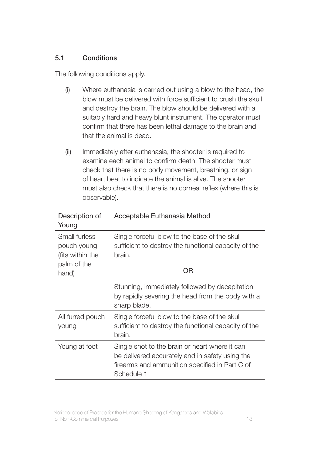### 5.1 Conditions

The following conditions apply.

- (i) Where euthanasia is carried out using a blow to the head, the blow must be delivered with force sufficient to crush the skull and destroy the brain. The blow should be delivered with a suitably hard and heavy blunt instrument. The operator must confirm that there has been lethal damage to the brain and that the animal is dead.
- (ii) Immediately after euthanasia, the shooter is required to examine each animal to confirm death. The shooter must check that there is no body movement, breathing, or sign of heart beat to indicate the animal is alive. The shooter must also check that there is no corneal reflex (where this is observable).

| Description of<br>Young                                         | Acceptable Euthanasia Method                                                                                                                                      |
|-----------------------------------------------------------------|-------------------------------------------------------------------------------------------------------------------------------------------------------------------|
| Small furless<br>pouch young<br>(fits within the<br>palm of the | Single forceful blow to the base of the skull<br>sufficient to destroy the functional capacity of the<br>brain.                                                   |
| hand)                                                           | ΟR                                                                                                                                                                |
|                                                                 | Stunning, immediately followed by decapitation<br>by rapidly severing the head from the body with a<br>sharp blade.                                               |
| All furred pouch<br>young                                       | Single forceful blow to the base of the skull<br>sufficient to destroy the functional capacity of the<br>brain.                                                   |
| Young at foot                                                   | Single shot to the brain or heart where it can<br>be delivered accurately and in safety using the<br>firearms and ammunition specified in Part C of<br>Schedule 1 |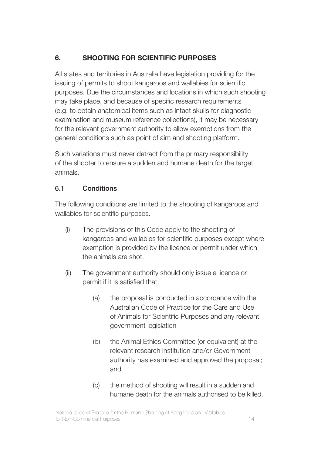# **6. SHOOTING FOR SCIENTIFIC PURPOSES**

All states and territories in Australia have legislation providing for the issuing of permits to shoot kangaroos and wallabies for scientific purposes. Due the circumstances and locations in which such shooting may take place, and because of specific research requirements (e.g. to obtain anatomical items such as intact skulls for diagnostic examination and museum reference collections), it may be necessary for the relevant government authority to allow exemptions from the general conditions such as point of aim and shooting platform.

Such variations must never detract from the primary responsibility of the shooter to ensure a sudden and humane death for the target animals.

## 6.1 Conditions

The following conditions are limited to the shooting of kangaroos and wallabies for scientific purposes.

- (i) The provisions of this Code apply to the shooting of kangaroos and wallabies for scientific purposes except where exemption is provided by the licence or permit under which the animals are shot.
- (ii) The government authority should only issue a licence or permit if it is satisfied that;
	- (a) the proposal is conducted in accordance with the Australian Code of Practice for the Care and Use of Animals for Scientific Purposes and any relevant government legislation
	- (b) the Animal Ethics Committee (or equivalent) at the relevant research institution and/or Government authority has examined and approved the proposal; and
	- (c) the method of shooting will result in a sudden and humane death for the animals authorised to be killed.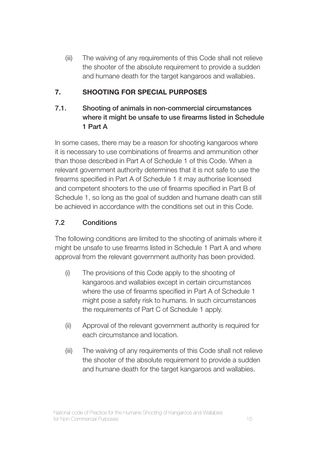(iii) The waiving of any requirements of this Code shall not relieve the shooter of the absolute requirement to provide a sudden and humane death for the target kangaroos and wallabies.

# **7. SHOOTING FOR SPECIAL PURPOSES**

## 7.1. Shooting of animals in non-commercial circumstances where it might be unsafe to use firearms listed in Schedule 1 Part A

In some cases, there may be a reason for shooting kangaroos where it is necessary to use combinations of firearms and ammunition other than those described in Part A of Schedule 1 of this Code. When a relevant government authority determines that it is not safe to use the firearms specified in Part A of Schedule 1 it may authorise licensed and competent shooters to the use of firearms specified in Part B of Schedule 1, so long as the goal of sudden and humane death can still be achieved in accordance with the conditions set out in this Code.

## 7.2 Conditions

The following conditions are limited to the shooting of animals where it might be unsafe to use firearms listed in Schedule 1 Part A and where approval from the relevant government authority has been provided.

- (i) The provisions of this Code apply to the shooting of kangaroos and wallabies except in certain circumstances where the use of firearms specified in Part A of Schedule 1 might pose a safety risk to humans. In such circumstances the requirements of Part C of Schedule 1 apply.
- (ii) Approval of the relevant government authority is required for each circumstance and location.
- (iii) The waiving of any requirements of this Code shall not relieve the shooter of the absolute requirement to provide a sudden and humane death for the target kangaroos and wallabies.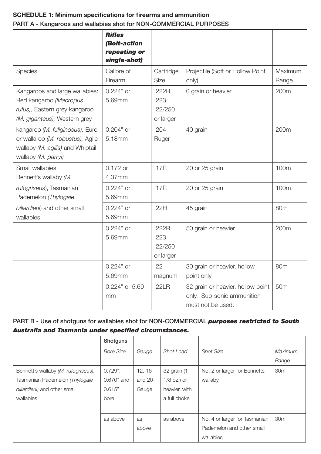## **SCHEDULE 1: Minimum specifications for firearms and ammunition** PART A - Kangaroos and wallabies shot for NON-COMMERCIAL PURPOSES

|                                                                                                                                | <b>Rifles</b><br>(Bolt-action<br>repeating or<br>single-shot) |                                         |                                                                                      |                  |
|--------------------------------------------------------------------------------------------------------------------------------|---------------------------------------------------------------|-----------------------------------------|--------------------------------------------------------------------------------------|------------------|
| <b>Species</b>                                                                                                                 | Calibre of<br>Firearm                                         | Cartridge<br><b>Size</b>                | Projectile (Soft or Hollow Point<br>only)                                            | Maximum<br>Range |
| Kangaroos and large wallabies:<br>Red kangaroo (Macropus<br>rufus), Eastern grey kangaroo<br>(M. giganteus), Western grey      | $0.224"$ or<br>5.69mm                                         | .222R.<br>.223.<br>.22/250<br>or larger | 0 grain or heavier                                                                   | 200m             |
| kangaroo (M. fuliginosus), Euro<br>or wallaroo (M. robustus), Agile<br>wallaby (M. agilis) and Whiptail<br>wallaby (M. parryi) | $0.204"$ or<br>5.18mm                                         | .204<br>Ruger                           | 40 grain                                                                             | 200m             |
| Small wallabies:<br>Bennett's wallaby (M.                                                                                      | $0.172$ or<br>4.37mm                                          | .17R                                    | 20 or 25 grain                                                                       | 100m             |
| rufogriseus), Tasmanian<br>Pademelon (Thylogale                                                                                | $0.224"$ or<br>5.69mm                                         | .17R                                    | 20 or 25 grain                                                                       | 100m             |
| billardierii) and other small<br>wallabies                                                                                     | $0.224"$ or<br>5.69mm                                         | .22H                                    | 45 grain                                                                             | 80 <sub>m</sub>  |
|                                                                                                                                | $0.224"$ or<br>5.69mm                                         | .222R.<br>.223.<br>.22/250<br>or larger | 50 grain or heavier                                                                  | 200m             |
|                                                                                                                                | 0.224" or<br>5.69mm                                           | .22<br>magnum                           | 30 grain or heavier, hollow<br>point only                                            | 80m              |
|                                                                                                                                | $0.224"$ or 5.69<br>mm                                        | .22LR                                   | 32 grain or heavier, hollow point<br>only. Sub-sonic ammunition<br>must not be used. | 50 <sub>m</sub>  |

#### PART B - Use of shotguns for wallabies shot for NON-COMMERCIAL *purposes restricted to South Australia and Tasmania under specified circumstances.*

|                                     | Shotguns         |        |               |                               |                 |
|-------------------------------------|------------------|--------|---------------|-------------------------------|-----------------|
|                                     | <b>Bore Size</b> | Gauge  | Shot Load     | <b>Shot Size</b>              | Maximum         |
|                                     |                  |        |               |                               | Range           |
| Bennett's wallaby (M. rufogriseus), | $0.729$ ",       | 12, 16 | 32 grain (1   | No. 2 or larger for Bennetts  | 30 <sub>m</sub> |
| Tasmanian Pademelon (Thylogale      | 0.670" and       | and 20 | $1/8$ oz.) or | wallaby                       |                 |
| billardierii) and other small       | 0.615"           | Gauge  | heavier, with |                               |                 |
| wallabies                           | bore             |        | a full choke  |                               |                 |
|                                     |                  |        |               |                               |                 |
|                                     | as above         | as     | as above      | No. 4 or larger for Tasmanian | 30 <sub>m</sub> |
|                                     |                  | above  |               | Pademelon and other small     |                 |
|                                     |                  |        |               | wallabies                     |                 |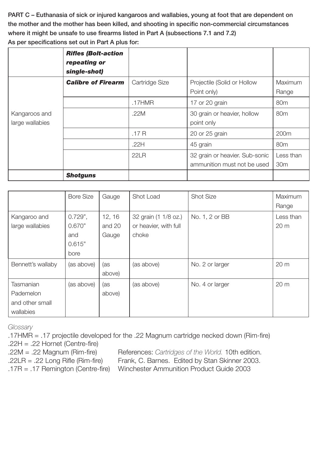PART C – Euthanasia of sick or injured kangaroos and wallabies, young at foot that are dependent on the mother and the mother has been killed, and shooting in specific non-commercial circumstances where it might be unsafe to use firearms listed in Part A (subsections 7.1 and 7.2)

| As per specifications set out in Part A plus for: |  |  |
|---------------------------------------------------|--|--|
|---------------------------------------------------|--|--|

|                                  | <b>Rifles (Bolt-action</b><br>repeating or<br>single-shot) |                |                                                               |                              |
|----------------------------------|------------------------------------------------------------|----------------|---------------------------------------------------------------|------------------------------|
|                                  | <b>Calibre of Firearm</b>                                  | Cartridge Size | Projectile (Solid or Hollow<br>Point only)                    | Maximum<br>Range             |
|                                  |                                                            | .17HMR         | 17 or 20 grain                                                | 80 <sub>m</sub>              |
| Kangaroos and<br>large wallabies |                                                            | .22M           | 30 grain or heavier, hollow<br>point only                     | 80 <sub>m</sub>              |
|                                  |                                                            | .17R           | 20 or 25 grain                                                | 200m                         |
|                                  |                                                            | .22H           | 45 grain                                                      | 80 <sub>m</sub>              |
|                                  |                                                            | 22LR           | 32 grain or heavier. Sub-sonic<br>ammunition must not be used | Less than<br>30 <sub>m</sub> |
|                                  | <b>Shotguns</b>                                            |                |                                                               |                              |

|                                                        | <b>Bore Size</b>                              | Gauge                     | Shot Load                                              | <b>Shot Size</b> | Maximum<br>Range             |
|--------------------------------------------------------|-----------------------------------------------|---------------------------|--------------------------------------------------------|------------------|------------------------------|
| Kangaroo and<br>large wallabies                        | $0.729$ ",<br>0.670"<br>and<br>0.615"<br>bore | 12, 16<br>and 20<br>Gauge | 32 grain (1 1/8 oz.)<br>or heavier, with full<br>choke | No. 1, 2 or BB   | Less than<br>20 <sub>m</sub> |
| Bennett's wallaby                                      | (as above)                                    | (as<br>above)             | (as above)                                             | No. 2 or larger  | 20 <sub>m</sub>              |
| Tasmanian<br>Pademelon<br>and other small<br>wallabies | (as above)                                    | (as<br>above)             | (as above)                                             | No. 4 or larger  | 20 <sub>m</sub>              |

*Glossary*

.17HMR = .17 projectile developed for the .22 Magnum cartridge necked down (Rim-fire) .22H = .22 Hornet (Centre-fire)

- 
- .22M = .22 Magnum (Rim-fire) References: *Cartridges of the World.* 10th edition.

.22LR = .22 Long Rifle (Rim-fire) Frank, C. Barnes. Edited by Stan Skinner 2003.

.17R = .17 Remington (Centre-fire) Winchester Ammunition Product Guide 2003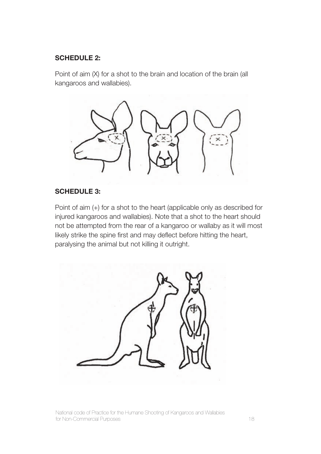### **SCHEDULE 2:**

Point of aim (X) for a shot to the brain and location of the brain (all kangaroos and wallabies).



### **SCHEDULE 3:**

Point of aim (+) for a shot to the heart (applicable only as described for injured kangaroos and wallabies). Note that a shot to the heart should not be attempted from the rear of a kangaroo or wallaby as it will most likely strike the spine first and may deflect before hitting the heart, paralysing the animal but not killing it outright.



National code of Practice for the Humane Shooting of Kangaroos and Wallabies for Non-Commercial Purposes 18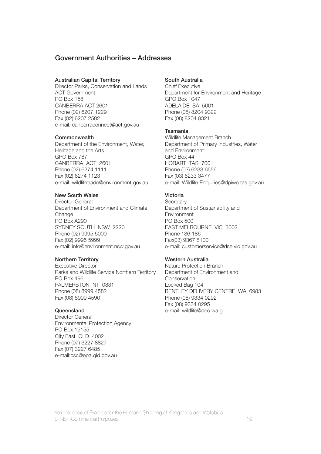#### Government Authorities – Addresses

#### Australian Capital Territory

Director Parks, Conservation and Lands ACT Government PO Box 158 CANBERRA ACT 2601 Phone (02) 6207 1229 Fax (02) 6207 2502 e-mail: canberraconnect@act.gov.au

#### **Commonwealth**

Department of the Environment, Water, Heritage and the Arts GPO Box 787 CANBERRA ACT 2601 Phone (02) 6274 1111 Fax (02) 6274 1123 e-mail: wildlifetrade@environment.gov.au

#### New South Wales

Director-General Department of Environment and Climate Change PO Box A290 SYDNEY SOUTH NSW 2220 Phone (02) 9995 5000 Fax (02) 9995 5999 e-mail: info@environment.nsw.gov.au

#### Northern Territory

Executive Director Parks and Wildlife Service Northern Territory PO Box 496 PALMERSTON NT 0831 Phone (08) 8999 4582 Fax (08) 8999 4590

#### **Queensland**

Director General Environmental Protection Agency PO Box 15155 City East QLD 4002 Phone (07) 3227 8827 Fax (07) 3227 6485 e-mail:csc@epa.qld.gov.au

#### South Australia

Chief Executive Department for Environment and Heritage GPO Box 1047 ADELAIDE SA 5001 Phone (08) 8204 9322 Fax (08) 8204 9321

#### Tasmania

Wildlife Management Branch Department of Primary Industries, Water and Environment GPO Box 44 HOBART TAS 7001 Phone (03) 6233 6556 Fax (03) 6233 3477 e-mail: Wildlife.Enquiries@dpiwe.tas.gov.au

#### Victoria

**Secretary** Department of Sustainability and Environment PO Box 500 EAST MELBOURNE VIC 3002 Phone 136 186 Fax(03) 9367 8100 e-mail: customerservice@dse.vic.gov.au

#### Western Australia

Nature Protection Branch Department of Environment and Conservation Locked Bag 104 BENTLEY DELIVERY CENTRE WA 6983 Phone (08) 9334 0292 Fax (08) 9334 0295 e-mail: wildlife@dec.wa.g

National code of Practice for the Humane Shooting of Kangaroos and Wallabies for Non-Commercial Purposes 19